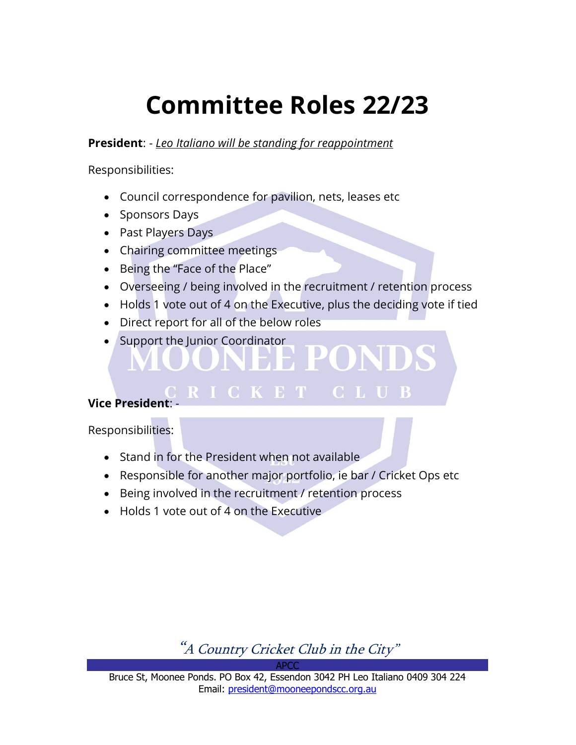# Committee Roles 22/23

President: - Leo Italiano will be standing for reappointment

Responsibilities:

- Council correspondence for pavilion, nets, leases etc
- Sponsors Days
- Past Players Days
- Chairing committee meetings
- Being the "Face of the Place"
- Overseeing / being involved in the recruitment / retention process
- Holds 1 vote out of 4 on the Executive, plus the deciding vote if tied

**CLUB** 

<u>LETE 1</u>

- Direct report for all of the below roles
- Support the Junior Coordinator

#### **Vice President**

Responsibilities:

- Stand in for the President when not available
- Responsible for another major portfolio, ie bar / Cricket Ops etc
- Being involved in the recruitment / retention process

**RICKET** 

• Holds 1 vote out of 4 on the Executive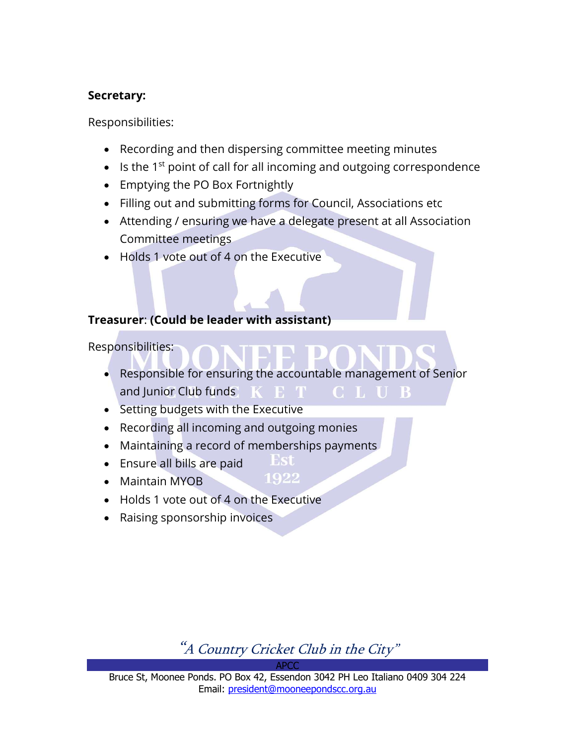#### Secretary:

Responsibilities:

- Recording and then dispersing committee meeting minutes
- $\bullet$  Is the 1<sup>st</sup> point of call for all incoming and outgoing correspondence
- Emptying the PO Box Fortnightly
- Filling out and submitting forms for Council, Associations etc
- Attending / ensuring we have a delegate present at all Association Committee meetings
- Holds 1 vote out of 4 on the Executive

#### Treasurer: (Could be leader with assistant)

Responsibilities:

 Responsible for ensuring the accountable management of Senior and Junior Club funds K E T **CLUB** 

> **Est** 1922

- Setting budgets with the Executive
- Recording all incoming and outgoing monies
- Maintaining a record of memberships payments
- Ensure all bills are paid
- Maintain MYOB
- Holds 1 vote out of 4 on the Executive
- Raising sponsorship invoices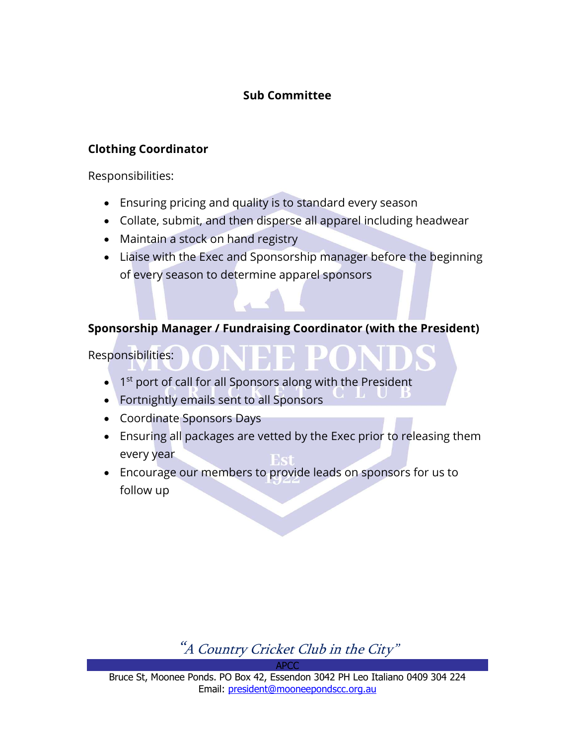## Sub Committee

#### Clothing Coordinator

Responsibilities:

- Ensuring pricing and quality is to standard every season
- Collate, submit, and then disperse all apparel including headwear
- Maintain a stock on hand registry
- Liaise with the Exec and Sponsorship manager before the beginning of every season to determine apparel sponsors

#### Sponsorship Manager / Fundraising Coordinator (with the President)

Responsibilities:

- $\bullet$  1<sup>st</sup> port of call for all Sponsors along with the President
- Fortnightly emails sent to all Sponsors
- Coordinate Sponsors Days
- Ensuring all packages are vetted by the Exec prior to releasing them every year
- Encourage our members to provide leads on sponsors for us to follow up

"A Country Cricket Club in the City"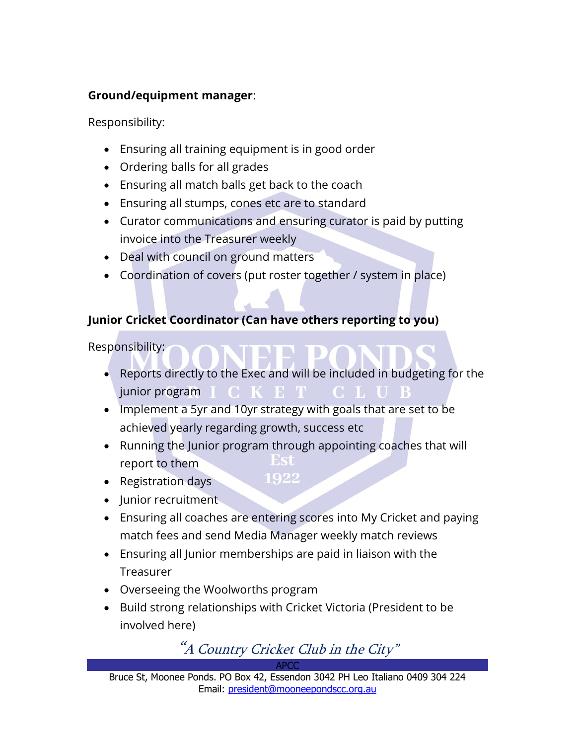## Ground/equipment manager:

Responsibility:

- Ensuring all training equipment is in good order
- Ordering balls for all grades
- Ensuring all match balls get back to the coach
- Ensuring all stumps, cones etc are to standard
- Curator communications and ensuring curator is paid by putting invoice into the Treasurer weekly
- Deal with council on ground matters
- Coordination of covers (put roster together / system in place)

# Junior Cricket Coordinator (Can have others reporting to you)

Responsibility:

- Reports directly to the Exec and will be included in budgeting for the junior program  $I$   $C$   $K$   $E$   $T$   $C$   $L$   $U$   $B$
- Implement a 5yr and 10yr strategy with goals that are set to be achieved yearly regarding growth, success etc
- Running the Junior program through appointing coaches that will report to them

1922

- Registration days
- Junior recruitment
- Ensuring all coaches are entering scores into My Cricket and paying match fees and send Media Manager weekly match reviews
- Ensuring all Junior memberships are paid in liaison with the Treasurer
- Overseeing the Woolworths program
- Build strong relationships with Cricket Victoria (President to be involved here)

# "A Country Cricket Club in the City"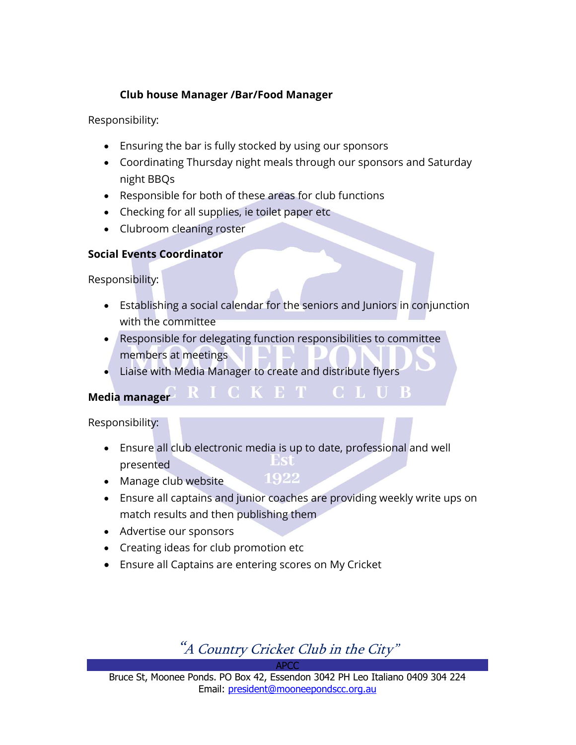#### Club house Manager /Bar/Food Manager

Responsibility:

- Ensuring the bar is fully stocked by using our sponsors
- Coordinating Thursday night meals through our sponsors and Saturday night BBQs
- Responsible for both of these areas for club functions
- Checking for all supplies, ie toilet paper etc
- Clubroom cleaning roster

#### Social Events Coordinator

Responsibility:

 Establishing a social calendar for the seniors and Juniors in conjunction with the committee

**CLUB** 

- Responsible for delegating function responsibilities to committee members at meetings
- Liaise with Media Manager to create and distribute flyers

RICKET -

Media manager

Responsibility:

- Ensure all club electronic media is up to date, professional and well Est presented 1922
- Manage club website
- Ensure all captains and junior coaches are providing weekly write ups on match results and then publishing them
- Advertise our sponsors
- Creating ideas for club promotion etc
- Ensure all Captains are entering scores on My Cricket